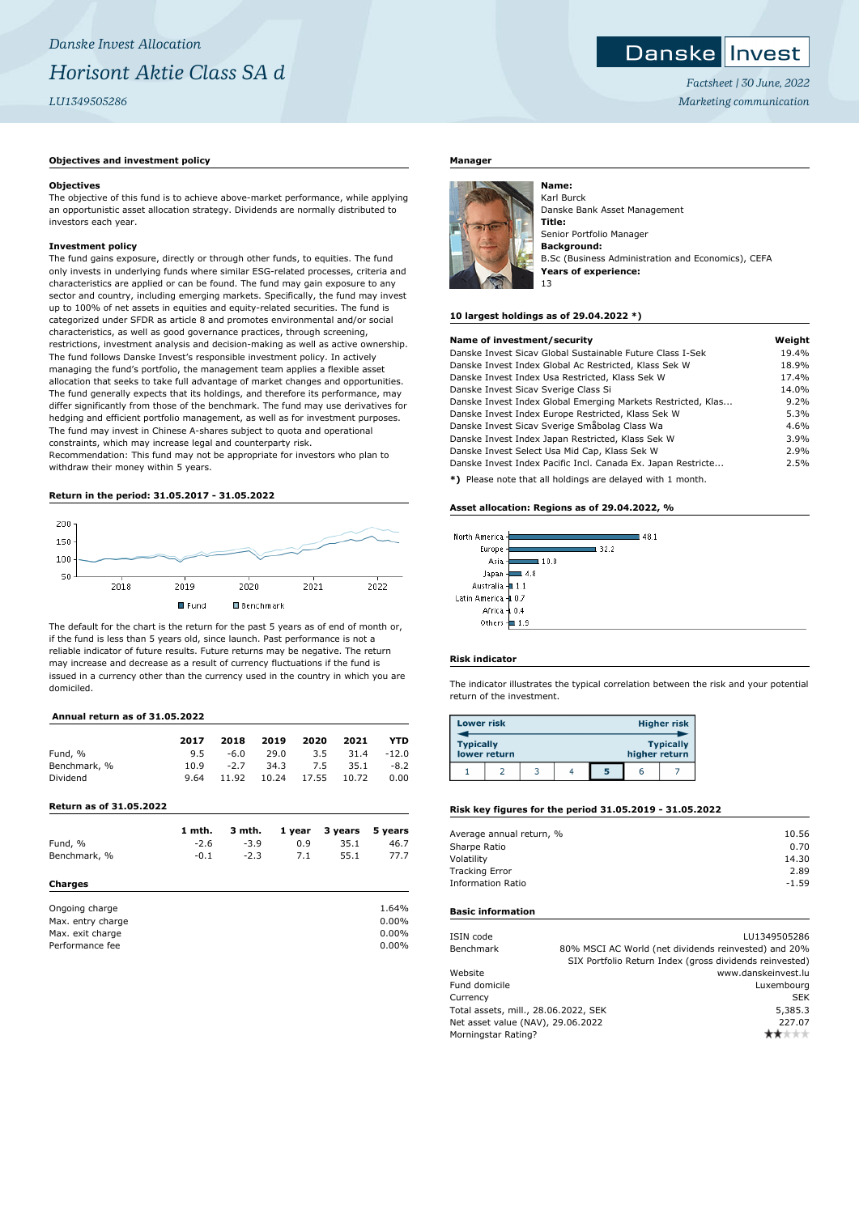## **Objectives and investment policy**

#### **Objectives**

The objective of this fund is to achieve above-market performance, while applying an opportunistic asset allocation strategy. Dividends are normally distributed to investors each year.

### **Investment policy**

The fund gains exposure, directly or through other funds, to equities. The fund only invests in underlying funds where similar ESG-related processes, criteria and characteristics are applied or can be found. The fund may gain exposure to any sector and country, including emerging markets. Specifically, the fund may invest up to 100% of net assets in equities and equity-related securities. The fund is categorized under SFDR as article 8 and promotes environmental and/or social characteristics, as well as good governance practices, through screening, restrictions, investment analysis and decision-making as well as active ownership. The fund follows Danske Invest's responsible investment policy. In actively managing the fund's portfolio, the management team applies a flexible asset allocation that seeks to take full advantage of market changes and opportunities. The fund generally expects that its holdings, and therefore its performance, may differ significantly from those of the benchmark. The fund may use derivatives for hedging and efficient portfolio management, as well as for investment purposes. The fund may invest in Chinese A-shares subject to quota and operational constraints, which may increase legal and counterparty risk. Recommendation: This fund may not be appropriate for investors who plan to

withdraw their money within 5 years.

## **Return in the period: 31.05.2017 - 31.05.2022**



The default for the chart is the return for the past 5 years as of end of month or, if the fund is less than 5 years old, since launch. Past performance is not a reliable indicator of future results. Future returns may be negative. The return may increase and decrease as a result of currency fluctuations if the fund is issued in a currency other than the currency used in the country in which you are domiciled.

# **Annual return as of 31.05.2022**

|              | 2017 | 2018   | 2019  | 2020     | 2021     | <b>YTD</b> |
|--------------|------|--------|-------|----------|----------|------------|
| Fund, %      | 9.5  | -6.0   | 29.0  |          | 3.5 31.4 | $-12.0$    |
| Benchmark, % | 10.9 | $-2.7$ |       | 34.3 7.5 | 35.1     | $-8.2$     |
| Dividend     | 9.64 | 11.92  | 10.24 | 17.55    | 10.72    | 0.00       |

#### **Return as of 31.05.2022**

|                   | 1 mth. | 3 mth. | 1 year | 3 years | 5 years  |
|-------------------|--------|--------|--------|---------|----------|
| Fund, %           | $-2.6$ | $-3.9$ | 0.9    | 35.1    | 46.7     |
| Benchmark, %      | $-0.1$ | $-2.3$ | 7.1    | 55.1    | 77.7     |
| Charges           |        |        |        |         |          |
| Ongoing charge    |        |        |        |         | 1.64%    |
| Max. entry charge |        |        |        |         | $0.00\%$ |
| Max. exit charge  |        |        |        |         | $0.00\%$ |
| Performance fee   |        |        |        |         | $0.00\%$ |

### **Manager**



**Name:** Karl Burck Danske Bank Asset Management **Title:** Senior Portfolio Manager **Background:** B.Sc (Business Administration and Economics), CEFA **Years of experience:** 13

*Factsheet | 30 June, 2022 Marketing communication*

**Danske Invest** 

#### **10 largest holdings as of 29.04.2022 \*)**

| Name of investment/security                                  | Weight |
|--------------------------------------------------------------|--------|
| Danske Invest Sicay Global Sustainable Future Class I-Sek    | 19.4%  |
| Danske Invest Index Global Ac Restricted, Klass Sek W        | 18.9%  |
| Danske Invest Index Usa Restricted, Klass Sek W              | 17.4%  |
| Danske Invest Sicav Sverige Class Si                         | 14.0%  |
| Danske Invest Index Global Emerging Markets Restricted, Klas | 9.2%   |
| Danske Invest Index Europe Restricted, Klass Sek W           | 5.3%   |
| Danske Invest Sicav Sverige Småbolag Class Wa                | 4.6%   |
| Danske Invest Index Japan Restricted, Klass Sek W            | 3.9%   |
| Danske Invest Select Usa Mid Cap, Klass Sek W                | 2.9%   |
| Danske Invest Index Pacific Incl. Canada Ex. Japan Restricte | 2.5%   |
| *) Please note that all holdings are delayed with 1 month    |        |

**\*)** Please note that all holdings are delayed with 1 month.

### **Asset allocation: Regions as of 29.04.2022, %**

| orth America -         |      |      | 48.1 |
|------------------------|------|------|------|
| Europe                 |      | 32.2 |      |
| Asia                   | 10.8 |      |      |
| Japan                  | 4.8  |      |      |
| Australia -            | 1.1  |      |      |
| atin America <b>-‡</b> | 0.7  |      |      |
| Africa -               | 0.4  |      |      |
| Others                 | 1.9  |      |      |

## **Risk indicator**

 $\overline{\mathbf{M}}$ 

 $\mathbf{I}$ 

The indicator illustrates the typical correlation between the risk and your potential return of the investment.

| <b>Lower risk</b> |              |  |   |               | <b>Higher risk</b> |
|-------------------|--------------|--|---|---------------|--------------------|
| <b>Typically</b>  | lower return |  |   | higher return | <b>Typically</b>   |
|                   |              |  | 5 |               |                    |

#### **Risk key figures for the period 31.05.2019 - 31.05.2022**

| Average annual return, % | 10.56   |
|--------------------------|---------|
| Sharpe Ratio             | 0.70    |
| Volatility               | 14.30   |
| <b>Tracking Error</b>    | 2.89    |
| <b>Information Ratio</b> | $-1.59$ |
|                          |         |

#### **Basic information**

| ISIN code                            | LU1349505286                                            |
|--------------------------------------|---------------------------------------------------------|
| Benchmark                            | 80% MSCI AC World (net dividends reinvested) and 20%    |
|                                      | SIX Portfolio Return Index (gross dividends reinvested) |
| Website                              | www.danskeinvest.lu                                     |
| Fund domicile                        | Luxembourg                                              |
| Currency                             | <b>SEK</b>                                              |
| Total assets, mill., 28.06.2022, SEK | 5,385.3                                                 |
| Net asset value (NAV), 29.06.2022    | 227.07                                                  |
| Morningstar Rating?                  | ٣ж                                                      |